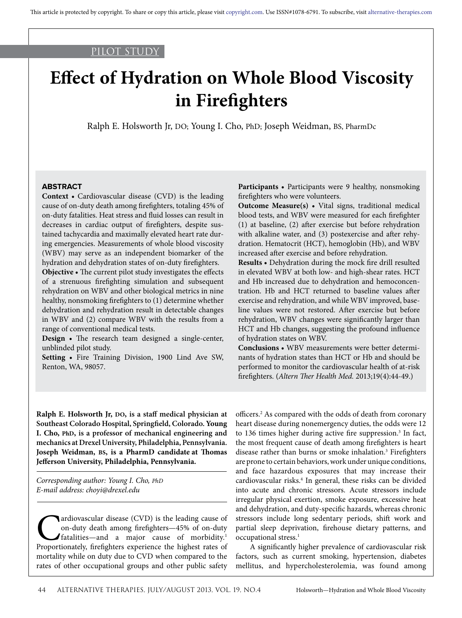### PILOT STUDY

# **Effect of Hydration on Whole Blood Viscosity in Firefighters**

Ralph E. Holsworth Jr, DO; Young I. Cho, PhD; Joseph Weidman, BS, PharmDc

### **ABSTRACT**

**Context •** Cardiovascular disease (CVD) is the leading cause of on-duty death among firefighters, totaling 45% of on-duty fatalities. Heat stress and fluid losses can result in decreases in cardiac output of firefighters, despite sustained tachycardia and maximally elevated heart rate during emergencies. Measurements of whole blood viscosity (WBV) may serve as an independent biomarker of the hydration and dehydration states of on-duty firefighters.

**Objective •** The current pilot study investigates the effects of a strenuous firefighting simulation and subsequent rehydration on WBV and other biological metrics in nine healthy, nonsmoking firefighters to (1) determine whether dehydration and rehydration result in detectable changes in WBV and (2) compare WBV with the results from a range of conventional medical tests.

**Design •** The research team designed a single-center, unblinded pilot study.

**Setting •** Fire Training Division, 1900 Lind Ave SW, Renton, WA, 98057.

**Participants •** Participants were 9 healthy, nonsmoking firefighters who were volunteers.

**Outcome Measure(s) •** Vital signs, traditional medical blood tests, and WBV were measured for each firefighter (1) at baseline, (2) after exercise but before rehydration with alkaline water, and (3) postexercise and after rehydration. Hematocrit (HCT), hemoglobin (Hb), and WBV increased after exercise and before rehydration.

**Results •** Dehydration during the mock fire drill resulted in elevated WBV at both low- and high-shear rates. HCT and Hb increased due to dehydration and hemoconcentration. Hb and HCT returned to baseline values after exercise and rehydration, and while WBV improved, baseline values were not restored. After exercise but before rehydration, WBV changes were significantly larger than HCT and Hb changes, suggesting the profound influence of hydration states on WBV.

**Conclusions •** WBV measurements were better determinants of hydration states than HCT or Hb and should be performed to monitor the cardiovascular health of at-risk firefighters. (*Altern Ther Health Med.* 2013;19(4):44-49.)

**Ralph E. Holsworth Jr, DO, is a staff medical physician at Southeast Colorado Hospital, Springfield, Colorado. Young I. Cho, PhD, is a professor of mechanical engineering and mechanics at Drexel University, Philadelphia, Pennsylvania. Joseph Weidman, BS, is a PharmD candidate at Thomas Jefferson University, Philadelphia, Pennsylvania.** 

*Corresponding author: Young I. Cho, PhD E-mail address: choyi@drexel.edu*

**C**ardiovascular disease (CVD) is the leading cause of on-duty death among firefighters—45% of on-duty fatalities—and a major cause of morbidity.<sup>1</sup> Proportionately, firefighters experience the highest rates of on-duty death among firefighters—45% of on-duty fatalities—and a major cause of morbidity.1 mortality while on duty due to CVD when compared to the rates of other occupational groups and other public safety

officers.2 As compared with the odds of death from coronary heart disease during nonemergency duties, the odds were 12 to 136 times higher during active fire suppression.<sup>3</sup> In fact, the most frequent cause of death among firefighters is heart disease rather than burns or smoke inhalation.<sup>3</sup> Firefighters are prone to certain behaviors, work under unique conditions, and face hazardous exposures that may increase their cardiovascular risks.<sup>4</sup> In general, these risks can be divided into acute and chronic stressors. Acute stressors include irregular physical exertion, smoke exposure, excessive heat and dehydration, and duty-specific hazards, whereas chronic stressors include long sedentary periods, shift work and partial sleep deprivation, firehouse dietary patterns, and occupational stress.1

A significantly higher prevalence of cardiovascular risk factors, such as current smoking, hypertension, diabetes mellitus, and hypercholesterolemia, was found among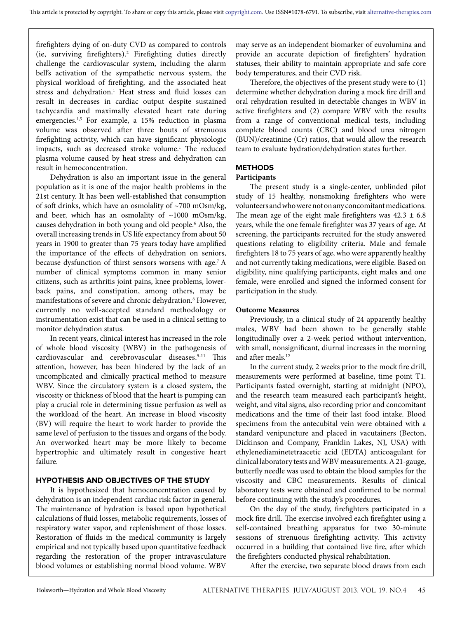firefighters dying of on-duty CVD as compared to controls (ie, surviving firefighters).2 Firefighting duties directly challenge the cardiovascular system, including the alarm bell's activation of the sympathetic nervous system, the physical workload of firefighting, and the associated heat stress and dehydration.<sup>1</sup> Heat stress and fluid losses can result in decreases in cardiac output despite sustained tachycardia and maximally elevated heart rate during emergencies.<sup>1,5</sup> For example, a 15% reduction in plasma volume was observed after three bouts of strenuous firefighting activity, which can have significant physiologic impacts, such as decreased stroke volume.<sup>1</sup> The reduced plasma volume caused by heat stress and dehydration can result in hemoconcentration.

Dehydration is also an important issue in the general population as it is one of the major health problems in the 21st century. It has been well-established that consumption of soft drinks, which have an osmolality of ~700 mOsm/kg, and beer, which has an osmolality of  $~1000$  mOsm/kg, causes dehydration in both young and old people.6 Also, the overall increasing trends in US life expectancy from about 50 years in 1900 to greater than 75 years today have amplified the importance of the effects of dehydration on seniors, because dysfunction of thirst sensors worsens with age.7 A number of clinical symptoms common in many senior citizens, such as arthritis joint pains, knee problems, lowerback pains, and constipation, among others, may be manifestations of severe and chronic dehydration.8 However, currently no well-accepted standard methodology or instrumentation exist that can be used in a clinical setting to monitor dehydration status.

In recent years, clinical interest has increased in the role of whole blood viscosity (WBV) in the pathogenesis of cardiovascular and cerebrovascular diseases.<sup>9-11</sup> This attention, however, has been hindered by the lack of an uncomplicated and clinically practical method to measure WBV. Since the circulatory system is a closed system, the viscosity or thickness of blood that the heart is pumping can play a crucial role in determining tissue perfusion as well as the workload of the heart. An increase in blood viscosity (BV) will require the heart to work harder to provide the same level of perfusion to the tissues and organs of the body. An overworked heart may be more likely to become hypertrophic and ultimately result in congestive heart failure.

### **HYPOTHESIS AND OBJECTIVES OF THE STUDY**

It is hypothesized that hemoconcentration caused by dehydration is an independent cardiac risk factor in general. The maintenance of hydration is based upon hypothetical calculations of fluid losses, metabolic requirements, losses of respiratory water vapor, and replenishment of those losses. Restoration of fluids in the medical community is largely empirical and not typically based upon quantitative feedback regarding the restoration of the proper intravasculature blood volumes or establishing normal blood volume. WBV

may serve as an independent biomarker of euvolumina and provide an accurate depiction of firefighters' hydration statuses, their ability to maintain appropriate and safe core body temperatures, and their CVD risk.

Therefore, the objectives of the present study were to (1) determine whether dehydration during a mock fire drill and oral rehydration resulted in detectable changes in WBV in active firefighters and (2) compare WBV with the results from a range of conventional medical tests, including complete blood counts (CBC) and blood urea nitrogen (BUN)/creatinine (Cr) ratios, that would allow the research team to evaluate hydration/dehydration states further.

### **METHODS**

### **Participants**

The present study is a single-center, unblinded pilot study of 15 healthy, nonsmoking firefighters who were volunteers and who were not on any concomitant medications. The mean age of the eight male firefighters was  $42.3 \pm 6.8$ years, while the one female firefighter was 37 years of age. At screening, the participants recruited for the study answered questions relating to eligibility criteria. Male and female firefighters 18 to 75 years of age, who were apparently healthy and not currently taking medications, were eligible. Based on eligibility, nine qualifying participants, eight males and one female, were enrolled and signed the informed consent for participation in the study.

### **Outcome Measures**

Previously, in a clinical study of 24 apparently healthy males, WBV had been shown to be generally stable longitudinally over a 2-week period without intervention, with small, nonsignificant, diurnal increases in the morning and after meals.<sup>12</sup>

In the current study, 2 weeks prior to the mock fire drill, measurements were performed at baseline, time point T1. Participants fasted overnight, starting at midnight (NPO), and the research team measured each participant's height, weight, and vital signs, also recording prior and concomitant medications and the time of their last food intake. Blood specimens from the antecubital vein were obtained with a standard venipuncture and placed in vacutainers (Becton, Dickinson and Company, Franklin Lakes, NJ, USA) with ethylenediaminetetraacetic acid (EDTA) anticoagulant for clinical laboratory tests and WBV measurements. A 21-gauge, butterfly needle was used to obtain the blood samples for the viscosity and CBC measurements. Results of clinical laboratory tests were obtained and confirmed to be normal before continuing with the study's procedures.

On the day of the study, firefighters participated in a mock fire drill. The exercise involved each firefighter using a self-contained breathing apparatus for two 30-minute sessions of strenuous firefighting activity. This activity occurred in a building that contained live fire, after which the firefighters conducted physical rehabilitation.

After the exercise, two separate blood draws from each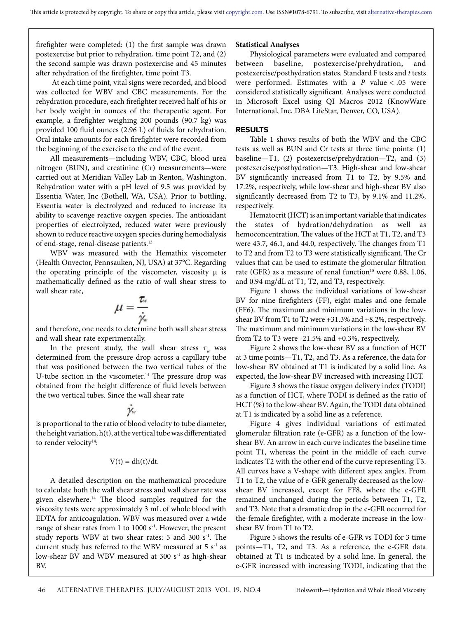firefighter were completed: (1) the first sample was drawn postexercise but prior to rehydration, time point T2, and (2) the second sample was drawn postexercise and 45 minutes after rehydration of the firefighter, time point T3.

 At each time point, vital signs were recorded, and blood was collected for WBV and CBC measurements. For the rehydration procedure, each firefighter received half of his or her body weight in ounces of the therapeutic agent. For example, a firefighter weighing 200 pounds (90.7 kg) was provided 100 fluid ounces (2.96 L) of fluids for rehydration. Oral intake amounts for each firefighter were recorded from the beginning of the exercise to the end of the event.

All measurements—including WBV, CBC, blood urea nitrogen (BUN), and creatinine (Cr) measurements—were carried out at Meridian Valley Lab in Renton, Washington. Rehydration water with a pH level of 9.5 was provided by Essentia Water, Inc (Bothell, WA, USA). Prior to bottling, Essentia water is electrolyzed and reduced to increase its ability to scavenge reactive oxygen species. The antioxidant properties of electrolyzed, reduced water were previously shown to reduce reactive oxygen species during hemodialysis of end-stage, renal-disease patients.13

WBV was measured with the Hemathix viscometer (Health Onvector, Pennsauken, NJ, USA) at 37°C. Regarding the operating principle of the viscometer, viscosity  $\mu$  is mathematically defined as the ratio of wall shear stress to wall shear rate,

$$
\mu=\frac{\tau_{\text{\tiny w}}}{\dot{\gamma_{\text{\tiny w}}}}
$$

and therefore, one needs to determine both wall shear stress and wall shear rate experimentally.

In the present study, the wall shear stress  $\tau_w$  was determined from the pressure drop across a capillary tube that was positioned between the two vertical tubes of the U-tube section in the viscometer.<sup>14</sup> The pressure drop was obtained from the height difference of fluid levels between the two vertical tubes. Since the wall shear rate

## j.

is proportional to the ratio of blood velocity to tube diameter, the height variation,  $h(t)$ , at the vertical tube was differentiated to render velocity<sup>14</sup>:

### $V(t) = dh(t)/dt$ .

A detailed description on the mathematical procedure to calculate both the wall shear stress and wall shear rate was given elsewhere.14 The blood samples required for the viscosity tests were approximately 3 mL of whole blood with EDTA for anticoagulation. WBV was measured over a wide range of shear rates from 1 to 1000 s<sup>-1</sup>. However, the present study reports WBV at two shear rates: 5 and 300  $s<sup>-1</sup>$ . The current study has referred to the WBV measured at 5  $s^{-1}$  as low-shear BV and WBV measured at 300 s<sup>-1</sup> as high-shear BV.

### **Statistical Analyses**

Physiological parameters were evaluated and compared between baseline, postexercise/prehydration, and postexercise/posthydration states. Standard F tests and *t* tests were performed. Estimates with a *P* value < .05 were considered statistically significant. Analyses were conducted in Microsoft Excel using QI Macros 2012 (KnowWare International, Inc, DBA LifeStar, Denver, CO, USA).

### **RESULTS**

Table 1 shows results of both the WBV and the CBC tests as well as BUN and Cr tests at three time points: (1) baseline—T1, (2) postexercise/prehydration—T2, and (3) postexercise/posthydration—T3. High-shear and low-shear BV significantly increased from T1 to T2, by 9.5% and 17.2%, respectively, while low-shear and high-shear BV also significantly decreased from T2 to T3, by 9.1% and 11.2%, respectively.

Hematocrit (HCT) is an important variable that indicates the states of hydration/dehydration as well as hemoconcentration. The values of the HCT at T1, T2, and T3 were 43.7, 46.1, and 44.0, respectively. The changes from T1 to T2 and from T2 to T3 were statistically significant. The Cr values that can be used to estimate the glomerular filtration rate (GFR) as a measure of renal function<sup>15</sup> were 0.88, 1.06, and 0.94 mg/dL at T1, T2, and T3, respectively.

Figure 1 shows the individual variations of low-shear BV for nine firefighters (FF), eight males and one female (FF6). The maximum and minimum variations in the lowshear BV from T1 to T2 were +31.3% and +8.2%, respectively. The maximum and minimum variations in the low-shear BV from T2 to T3 were -21.5% and +0.3%, respectively.

Figure 2 shows the low-shear BV as a function of HCT at 3 time points—T1, T2, and T3. As a reference, the data for low-shear BV obtained at T1 is indicated by a solid line. As expected, the low-shear BV increased with increasing HCT.

Figure 3 shows the tissue oxygen delivery index (TODI) as a function of HCT, where TODI is defined as the ratio of HCT (%) to the low-shear BV. Again, the TODI data obtained at T1 is indicated by a solid line as a reference.

Figure 4 gives individual variations of estimated glomerular filtration rate (e-GFR) as a function of the lowshear BV. An arrow in each curve indicates the baseline time point T1, whereas the point in the middle of each curve indicates T2 with the other end of the curve representing T3. All curves have a V-shape with different apex angles. From T1 to T2, the value of e-GFR generally decreased as the lowshear BV increased, except for FF8, where the e-GFR remained unchanged during the periods between T1, T2, and T3. Note that a dramatic drop in the e-GFR occurred for the female firefighter, with a moderate increase in the lowshear BV from T1 to T2.

Figure 5 shows the results of e-GFR vs TODI for 3 time points—T1, T2, and T3. As a reference, the e-GFR data obtained at T1 is indicated by a solid line. In general, the e-GFR increased with increasing TODI, indicating that the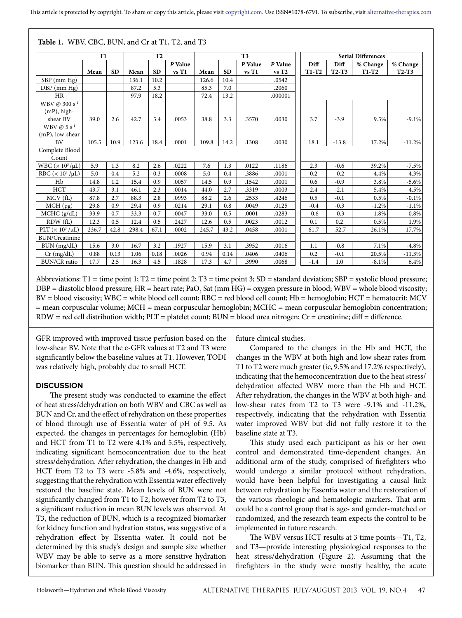|                                     |       | T <sub>2</sub> |       | T <sub>3</sub> |         |       |           | <b>Serial Differences</b> |         |         |         |          |          |
|-------------------------------------|-------|----------------|-------|----------------|---------|-------|-----------|---------------------------|---------|---------|---------|----------|----------|
|                                     |       |                |       |                | P Value |       |           | P Value                   | P Value | Diff    | Diff    | % Change | % Change |
|                                     | Mean  | <b>SD</b>      | Mean  | <b>SD</b>      | vsT1    | Mean  | <b>SD</b> | vsT1                      | vsT2    | $T1-T2$ | $T2-T3$ | $T1-T2$  | $T2-T3$  |
| $SBP$ (mm $Hg$ )                    |       |                | 136.1 | 10.2           |         | 126.6 | 10.4      |                           | .0542   |         |         |          |          |
| DBP (mm Hg)                         |       |                | 87.2  | 5.3            |         | 85.3  | 7.0       |                           | .2060   |         |         |          |          |
| <b>HR</b>                           |       |                | 97.9  | 18.2           |         | 72.4  | 13.2      |                           | .000001 |         |         |          |          |
| WBV @ $300 s^{-1}$                  |       |                |       |                |         |       |           |                           |         |         |         |          |          |
| $(mP)$ , high-                      |       |                |       |                |         |       |           |                           |         |         |         |          |          |
| shear BV                            | 39.0  | 2.6            | 42.7  | 5.4            | .0053   | 38.8  | 3.3       | .3570                     | .0030   | 3.7     | $-3.9$  | 9.5%     | $-9.1%$  |
| WBV $\varnothing$ 5 s <sup>-1</sup> |       |                |       |                |         |       |           |                           |         |         |         |          |          |
| $(mP)$ , low-shear                  |       |                |       |                |         |       |           |                           |         |         |         |          |          |
| BV                                  | 105.5 | 10.9           | 123.6 | 18.4           | .0001   | 109.8 | 14.2      | .1308                     | .0030   | 18.1    | $-13.8$ | 17.2%    | $-11.2%$ |
| Complete Blood<br>Count             |       |                |       |                |         |       |           |                           |         |         |         |          |          |
| WBC $(\times 10^3/\mu L)$           | 5.9   | 1.3            | 8.2   | 2.6            | .0222   | 7.6   | 1.3       | .0122                     | .1186   | 2.3     | $-0.6$  | 39.2%    | $-7.5%$  |
| RBC $(x 10^3/\mu L)$                | 5.0   | 0.4            | 5.2   | 0.3            | .0008   | 5.0   | 0.4       | .3886                     | .0001   | 0.2     | $-0.2$  | 4.4%     | $-4.3%$  |
| Hb                                  | 14.8  | 1.2            | 15.4  | 0.9            | .0057   | 14.5  | 0.9       | .1542                     | .0001   | 0.6     | $-0.9$  | 3.8%     | $-5.6\%$ |
| <b>HCT</b>                          | 43.7  | 3.1            | 46.1  | 2.3            | .0014   | 44.0  | 2.7       | .3319                     | .0003   | 2.4     | $-2.1$  | 5.4%     | $-4.5%$  |
| MCV(fL)                             | 87.8  | 2.7            | 88.3  | 2.8            | .0993   | 88.2  | 2.6       | .2533                     | .4246   | 0.5     | $-0.1$  | 0.5%     | $-0.1\%$ |
| $MCH$ (pg)                          | 29.8  | 0.9            | 29.4  | 0.9            | .0214   | 29.1  | 0.8       | .0049                     | .0125   | $-0.4$  | $-0.3$  | $-1.2%$  | $-1.1%$  |
| MCHC (g/dL)                         | 33.9  | 0.7            | 33.3  | 0.7            | .0047   | 33.0  | 0.5       | .0001                     | .0283   | $-0.6$  | $-0.3$  | $-1.8%$  | $-0.8%$  |
| RDW(fL)                             | 12.3  | 0.5            | 12.4  | 0.5            | .2427   | 12.6  | 0.5       | .0023                     | .0012   | 0.1     | 0.2     | 0.5%     | 1.9%     |
| PLT $(\times 10^3/\mu L)$           | 236.7 | 42.8           | 298.4 | 67.1           | .0002   | 245.7 | 43.2      | .0458                     | .0001   | 61.7    | $-52.7$ | 26.1%    | $-17.7%$ |
| <b>BUN/Creatinine</b>               |       |                |       |                |         |       |           |                           |         |         |         |          |          |
| BUN (mg/dL)                         | 15.6  | 3.0            | 16.7  | 3.2            | .1927   | 15.9  | 3.1       | .3952                     | .0016   | 1.1     | $-0.8$  | 7.1%     | $-4.8%$  |
| $Cr$ (mg/dL)                        | 0.88  | 0.13           | 1.06  | 0.18           | .0026   | 0.94  | 0.14      | .0406                     | .0406   | 0.2     | $-0.1$  | 20.5%    | $-11.3%$ |
| <b>BUN/CR</b> ratio                 | 17.7  | 2.5            | 16.3  | 4.5            | .1828   | 17.3  | 4.7       | .3990                     | .0068   | $-1.4$  | 1.0     | $-8.1%$  | 6.4%     |

**Table 1.** WBV, CBC, BUN, and Cr at T1, T2, and T3

Abbreviations: T1 = time point 1; T2 = time point 2; T3 = time point 3; SD = standard deviation; SBP = systolic blood pressure; DBP = diastolic blood pressure; HR = heart rate; PaO<sub>2</sub> Sat (mm HG) = oxygen pressure in blood; WBV = whole blood viscosity; BV = blood viscosity; WBC = white blood cell count; RBC = red blood cell count; Hb = hemoglobin; HCT = hematocrit; MCV = mean corpuscular volume; MCH = mean corpuscular hemoglobin; MCHC = mean corpuscular hemoglobin concentration; RDW = red cell distribution width; PLT = platelet count; BUN = blood urea nitrogen; Cr = creatinine; diff = difference.

GFR improved with improved tissue perfusion based on the low-shear BV. Note that the e-GFR values at T2 and T3 were significantly below the baseline values at T1. However, TODI was relatively high, probably due to small HCT.

### **DISCUSSION**

The present study was conducted to examine the effect of heat stress/dehydration on both WBV and CBC as well as BUN and Cr, and the effect of rehydration on these properties of blood through use of Essentia water of pH of 9.5. As expected, the changes in percentages for hemoglobin (Hb) and HCT from T1 to T2 were 4.1% and 5.5%, respectively, indicating significant hemoconcentration due to the heat stress/dehydration. After rehydration, the changes in Hb and HCT from T2 to T3 were -5.8% and -4.6%, respectively, suggesting that the rehydration with Essentia water effectively restored the baseline state. Mean levels of BUN were not significantly changed from T1 to T2; however from T2 to T3, a significant reduction in mean BUN levels was observed. At T3, the reduction of BUN, which is a recognized biomarker for kidney function and hydration status, was suggestive of a rehydration effect by Essentia water. It could not be determined by this study's design and sample size whether WBV may be able to serve as a more sensitive hydration biomarker than BUN. This question should be addressed in

future clinical studies.

Compared to the changes in the Hb and HCT, the changes in the WBV at both high and low shear rates from T1 to T2 were much greater (ie, 9.5% and 17.2% respectively), indicating that the hemoconcentration due to the heat stress/ dehydration affected WBV more than the Hb and HCT. After rehydration, the changes in the WBV at both high- and low-shear rates from T2 to T3 were -9.1% and -11.2%, respectively, indicating that the rehydration with Essentia water improved WBV but did not fully restore it to the baseline state at T3.

This study used each participant as his or her own control and demonstrated time-dependent changes. An additional arm of the study, comprised of firefighters who would undergo a similar protocol without rehydration, would have been helpful for investigating a causal link between rehydration by Essentia water and the restoration of the various rheologic and hematologic markers. That arm could be a control group that is age- and gender-matched or randomized, and the research team expects the control to be implemented in future research.

The WBV versus HCT results at 3 time points—T1, T2, and T3—provide interesting physiological responses to the heat stress/dehydration (Figure 2). Assuming that the firefighters in the study were mostly healthy, the acute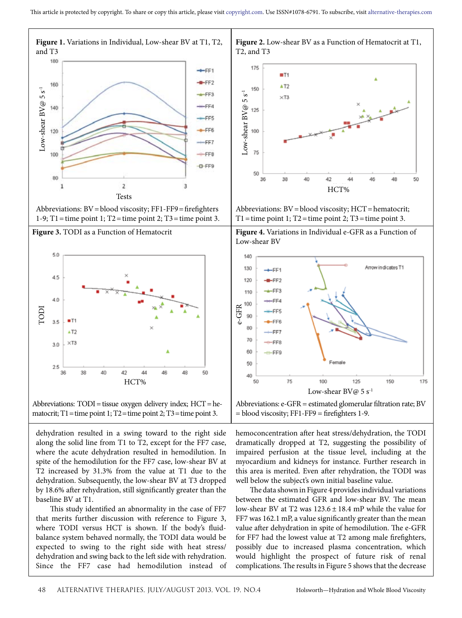





Abbreviations:  $TODI$  = tissue oxygen delivery index;  $HCT$  = he-

dehydration resulted in a swing toward to the right side along the solid line from T1 to T2, except for the FF7 case, where the acute dehydration resulted in hemodilution. In spite of the hemodilution for the FF7 case, low-shear BV at T2 increased by 31.3% from the value at T1 due to the dehydration. Subsequently, the low-shear BV at T3 dropped by 18.6% after rehydration, still significantly greater than the baseline BV at T1.

This study identified an abnormality in the case of FF7 that merits further discussion with reference to Figure 3, where TODI versus HCT is shown. If the body's fluidbalance system behaved normally, the TODI data would be expected to swing to the right side with heat stress/ dehydration and swing back to the left side with rehydration. Since the FF7 case had hemodilution instead of



**Figure 2.** Low-shear BV as a Function of Hematocrit at T1,

Abbreviations: BV=blood viscosity; HCT=hematocrit;





Abbreviations: e-GFR = estimated glomerular filtration rate; BV = blood viscosity; FF1-FF9 = firefighters 1-9.

hemoconcentration after heat stress/dehydration, the TODI dramatically dropped at T2, suggesting the possibility of impaired perfusion at the tissue level, including at the myocardium and kidneys for instance. Further research in this area is merited. Even after rehydration, the TODI was well below the subject's own initial baseline value.

The data shown in Figure 4 provides individual variations between the estimated GFR and low-shear BV. The mean low-shear BV at T2 was  $123.6 \pm 18.4$  mP while the value for FF7 was 162.1 mP, a value significantly greater than the mean value after dehydration in spite of hemodilution. The e-GFR for FF7 had the lowest value at T2 among male firefighters, possibly due to increased plasma concentration, which would highlight the prospect of future risk of renal complications. The results in Figure 5 shows that the decrease